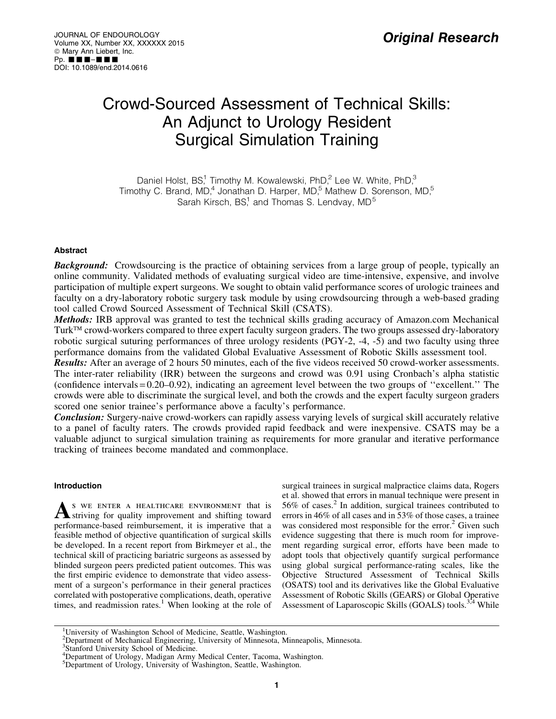# Crowd-Sourced Assessment of Technical Skills: An Adjunct to Urology Resident Surgical Simulation Training

Daniel Holst,  $BS<sup>1</sup>$  Timothy M. Kowalewski, PhD, $<sup>2</sup>$  Lee W. White, PhD, $<sup>3</sup>$ </sup></sup> Timothy C. Brand, MD,<sup>4</sup> Jonathan D. Harper, MD,<sup>5</sup> Mathew D. Sorenson, MD,<sup>5</sup> Sarah Kirsch,  $BS<sup>1</sup>$  and Thomas S. Lendvay,  $MD<sup>5</sup>$ 

# Abstract

**Background:** Crowdsourcing is the practice of obtaining services from a large group of people, typically an online community. Validated methods of evaluating surgical video are time-intensive, expensive, and involve participation of multiple expert surgeons. We sought to obtain valid performance scores of urologic trainees and faculty on a dry-laboratory robotic surgery task module by using crowdsourcing through a web-based grading tool called Crowd Sourced Assessment of Technical Skill (CSATS).

Methods: IRB approval was granted to test the technical skills grading accuracy of Amazon.com Mechanical Turk<sup>TM</sup> crowd-workers compared to three expert faculty surgeon graders. The two groups assessed dry-laboratory robotic surgical suturing performances of three urology residents (PGY-2, -4, -5) and two faculty using three performance domains from the validated Global Evaluative Assessment of Robotic Skills assessment tool.

**Results:** After an average of 2 hours 50 minutes, each of the five videos received 50 crowd-worker assessments. The inter-rater reliability (IRR) between the surgeons and crowd was 0.91 using Cronbach's alpha statistic (confidence intervals = 0.20–0.92), indicating an agreement level between the two groups of ''excellent.'' The crowds were able to discriminate the surgical level, and both the crowds and the expert faculty surgeon graders scored one senior trainee's performance above a faculty's performance.

**Conclusion:** Surgery-naive crowd-workers can rapidly assess varying levels of surgical skill accurately relative to a panel of faculty raters. The crowds provided rapid feedback and were inexpensive. CSATS may be a valuable adjunct to surgical simulation training as requirements for more granular and iterative performance tracking of trainees become mandated and commonplace.

# Introduction

A S WE ENTER A HEALTHCARE ENVIRONMENT that is striving for quality improvement and shifting toward performance-based reimbursement, it is imperative that a feasible method of objective quantification of surgical skills be developed. In a recent report from Birkmeyer et al., the technical skill of practicing bariatric surgeons as assessed by blinded surgeon peers predicted patient outcomes. This was the first empiric evidence to demonstrate that video assessment of a surgeon's performance in their general practices correlated with postoperative complications, death, operative times, and readmission rates.<sup>1</sup> When looking at the role of surgical trainees in surgical malpractice claims data, Rogers et al. showed that errors in manual technique were present in  $56\%$  of cases.<sup>2</sup> In addition, surgical trainees contributed to errors in 46% of all cases and in 53% of those cases, a trainee was considered most responsible for the error.<sup>2</sup> Given such evidence suggesting that there is much room for improvement regarding surgical error, efforts have been made to adopt tools that objectively quantify surgical performance using global surgical performance-rating scales, like the Objective Structured Assessment of Technical Skills (OSATS) tool and its derivatives like the Global Evaluative Assessment of Robotic Skills (GEARS) or Global Operative Assessment of Laparoscopic Skills (GOALS) tools.<sup>3,4</sup> While

<sup>&</sup>lt;sup>1</sup>University of Washington School of Medicine, Seattle, Washington.

<sup>2</sup> Department of Mechanical Engineering, University of Minnesota, Minneapolis, Minnesota.

<sup>&</sup>lt;sup>3</sup>Stanford University School of Medicine.

<sup>&</sup>lt;sup>4</sup>Department of Urology, Madigan Army Medical Center, Tacoma, Washington.

<sup>&</sup>lt;sup>5</sup>Department of Urology, University of Washington, Seattle, Washington.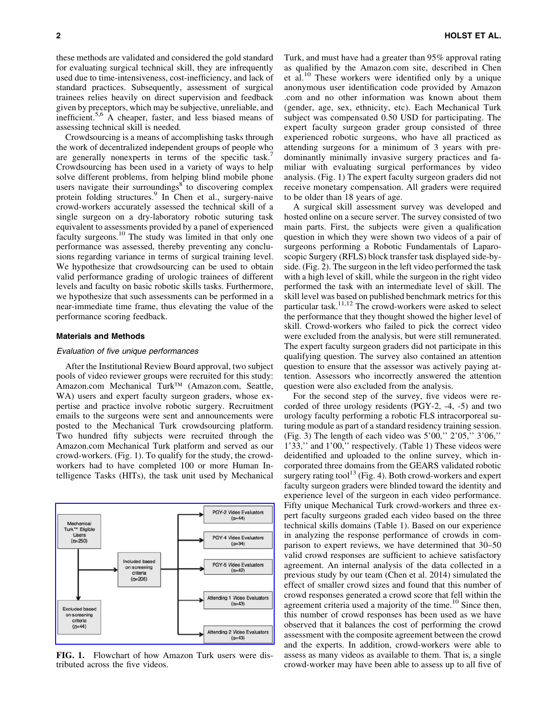these methods are validated and considered the gold standard for evaluating surgical technical skill, they are infrequently used due to time-intensiveness, cost-inefficiency, and lack of standard practices. Subsequently, assessment of surgical trainees relies heavily on direct supervision and feedback given by preceptors, which may be subjective, unreliable, and inefficient.5,6 A cheaper, faster, and less biased means of assessing technical skill is needed.

Crowdsourcing is a means of accomplishing tasks through the work of decentralized independent groups of people who are generally nonexperts in terms of the specific task.<sup>4</sup> Crowdsourcing has been used in a variety of ways to help solve different problems, from helping blind mobile phone users navigate their surroundings $8$  to discovering complex protein folding structures.<sup>9</sup> In Chen et al., surgery-naive crowd-workers accurately assessed the technical skill of a single surgeon on a dry-laboratory robotic suturing task equivalent to assessments provided by a panel of experienced faculty surgeons.<sup>10</sup> The study was limited in that only one performance was assessed, thereby preventing any conclusions regarding variance in terms of surgical training level. We hypothesize that crowdsourcing can be used to obtain valid performance grading of urologic trainees of different levels and faculty on basic robotic skills tasks. Furthermore, we hypothesize that such assessments can be performed in a near-immediate time frame, thus elevating the value of the performance scoring feedback.

### Materials and Methods

#### Evaluation of five unique performances

After the Institutional Review Board approval, two subject pools of video reviewer groups were recruited for this study: Amazon.com Mechanical Turk™ (Amazon.com, Seattle, WA) users and expert faculty surgeon graders, whose expertise and practice involve robotic surgery. Recruitment emails to the surgeons were sent and announcements were posted to the Mechanical Turk crowdsourcing platform. Two hundred fifty subjects were recruited through the Amazon.com Mechanical Turk platform and served as our crowd-workers. (Fig. 1). To qualify for the study, the crowdworkers had to have completed 100 or more Human Intelligence Tasks (HITs), the task unit used by Mechanical



FIG. 1. Flowchart of how Amazon Turk users were distributed across the five videos.

Turk, and must have had a greater than 95% approval rating as qualified by the Amazon.com site, described in Chen et al.<sup>10</sup> These workers were identified only by a unique anonymous user identification code provided by Amazon .com and no other information was known about them (gender, age, sex, ethnicity, etc). Each Mechanical Turk subject was compensated 0.50 USD for participating. The expert faculty surgeon grader group consisted of three experienced robotic surgeons, who have all practiced as attending surgeons for a minimum of 3 years with predominantly minimally invasive surgery practices and familiar with evaluating surgical performances by video analysis. (Fig. 1) The expert faculty surgeon graders did not receive monetary compensation. All graders were required to be older than 18 years of age.

A surgical skill assessment survey was developed and hosted online on a secure server. The survey consisted of two main parts. First, the subjects were given a qualification question in which they were shown two videos of a pair of surgeons performing a Robotic Fundamentals of Laparoscopic Surgery (RFLS) block transfer task displayed side-byside. (Fig. 2). The surgeon in the left video performed the task with a high level of skill, while the surgeon in the right video performed the task with an intermediate level of skill. The skill level was based on published benchmark metrics for this particular task.<sup>11,12</sup> The crowd-workers were asked to select the performance that they thought showed the higher level of skill. Crowd-workers who failed to pick the correct video were excluded from the analysis, but were still remunerated. The expert faculty surgeon graders did not participate in this qualifying question. The survey also contained an attention question to ensure that the assessor was actively paying attention. Assessors who incorrectly answered the attention question were also excluded from the analysis.

For the second step of the survey, five videos were recorded of three urology residents (PGY-2, -4, -5) and two urology faculty performing a robotic FLS intracorporeal suturing module as part of a standard residency training session. (Fig. 3) The length of each video was  $5'00$ ,"  $2'05$ ,"  $3'06$ ," 1'33,'' and 1'00,'' respectively. (Table 1) These videos were deidentified and uploaded to the online survey, which incorporated three domains from the GEARS validated robotic surgery rating tool<sup>13</sup> (Fig. 4). Both crowd-workers and expert faculty surgeon graders were blinded toward the identity and experience level of the surgeon in each video performance. Fifty unique Mechanical Turk crowd-workers and three expert faculty surgeons graded each video based on the three technical skills domains (Table 1). Based on our experience in analyzing the response performance of crowds in comparison to expert reviews, we have determined that 30–50 valid crowd responses are sufficient to achieve satisfactory agreement. An internal analysis of the data collected in a previous study by our team (Chen et al. 2014) simulated the effect of smaller crowd sizes and found that this number of crowd responses generated a crowd score that fell within the agreement criteria used a majority of the time.<sup>10</sup> Since then, this number of crowd responses has been used as we have observed that it balances the cost of performing the crowd assessment with the composite agreement between the crowd and the experts. In addition, crowd-workers were able to assess as many videos as available to them. That is, a single crowd-worker may have been able to assess up to all five of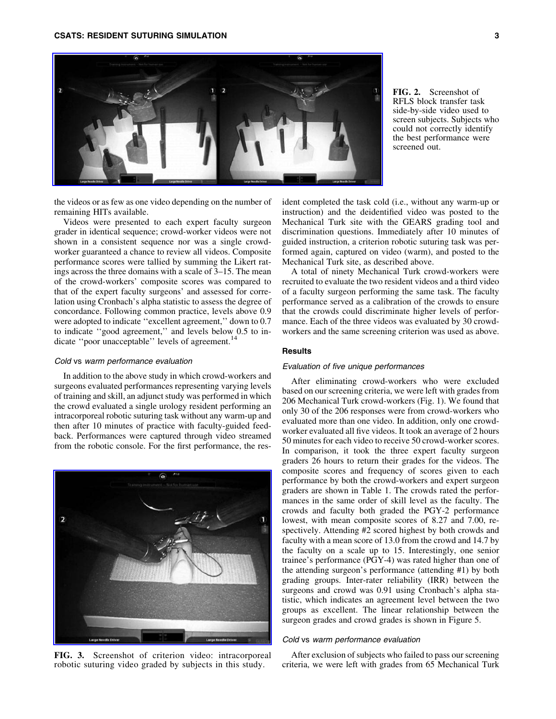

the videos or as few as one video depending on the number of remaining HITs available.

Videos were presented to each expert faculty surgeon grader in identical sequence; crowd-worker videos were not shown in a consistent sequence nor was a single crowdworker guaranteed a chance to review all videos. Composite performance scores were tallied by summing the Likert ratings across the three domains with a scale of 3–15. The mean of the crowd-workers' composite scores was compared to that of the expert faculty surgeons' and assessed for correlation using Cronbach's alpha statistic to assess the degree of concordance. Following common practice, levels above 0.9 were adopted to indicate ''excellent agreement,'' down to 0.7 to indicate ''good agreement,'' and levels below 0.5 to indicate "poor unacceptable" levels of agreement.<sup>14</sup>

### Cold vs warm performance evaluation

In addition to the above study in which crowd-workers and surgeons evaluated performances representing varying levels of training and skill, an adjunct study was performed in which the crowd evaluated a single urology resident performing an intracorporeal robotic suturing task without any warm-up and then after 10 minutes of practice with faculty-guided feedback. Performances were captured through video streamed from the robotic console. For the first performance, the res-



FIG. 3. Screenshot of criterion video: intracorporeal robotic suturing video graded by subjects in this study.

FIG. 2. Screenshot of RFLS block transfer task side-by-side video used to screen subjects. Subjects who could not correctly identify the best performance were screened out.

ident completed the task cold (i.e., without any warm-up or instruction) and the deidentified video was posted to the Mechanical Turk site with the GEARS grading tool and discrimination questions. Immediately after 10 minutes of guided instruction, a criterion robotic suturing task was performed again, captured on video (warm), and posted to the Mechanical Turk site, as described above.

A total of ninety Mechanical Turk crowd-workers were recruited to evaluate the two resident videos and a third video of a faculty surgeon performing the same task. The faculty performance served as a calibration of the crowds to ensure that the crowds could discriminate higher levels of performance. Each of the three videos was evaluated by 30 crowdworkers and the same screening criterion was used as above.

# **Results**

#### Evaluation of five unique performances

After eliminating crowd-workers who were excluded based on our screening criteria, we were left with grades from 206 Mechanical Turk crowd-workers (Fig. 1). We found that only 30 of the 206 responses were from crowd-workers who evaluated more than one video. In addition, only one crowdworker evaluated all five videos. It took an average of 2 hours 50 minutes for each video to receive 50 crowd-worker scores. In comparison, it took the three expert faculty surgeon graders 26 hours to return their grades for the videos. The composite scores and frequency of scores given to each performance by both the crowd-workers and expert surgeon graders are shown in Table 1. The crowds rated the performances in the same order of skill level as the faculty. The crowds and faculty both graded the PGY-2 performance lowest, with mean composite scores of 8.27 and 7.00, respectively. Attending #2 scored highest by both crowds and faculty with a mean score of 13.0 from the crowd and 14.7 by the faculty on a scale up to 15. Interestingly, one senior trainee's performance (PGY-4) was rated higher than one of the attending surgeon's performance (attending #1) by both grading groups. Inter-rater reliability (IRR) between the surgeons and crowd was 0.91 using Cronbach's alpha statistic, which indicates an agreement level between the two groups as excellent. The linear relationship between the surgeon grades and crowd grades is shown in Figure 5.

## Cold vs warm performance evaluation

After exclusion of subjects who failed to pass our screening criteria, we were left with grades from 65 Mechanical Turk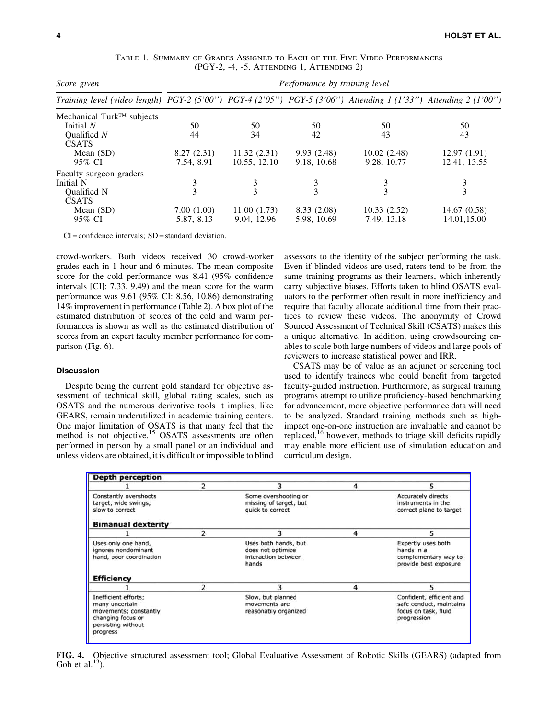| Score given<br>Training level (video length) PGY-2 (5'00") PGY-4 (2'05") PGY-5 (3'06") Attending 1 (1'33") Attending 2 (1'00") | Performance by training level |              |             |              |              |  |
|--------------------------------------------------------------------------------------------------------------------------------|-------------------------------|--------------|-------------|--------------|--------------|--|
|                                                                                                                                |                               |              |             |              |              |  |
| Mechanical Turk <sup>TM</sup> subjects                                                                                         |                               |              |             |              |              |  |
| Initial N                                                                                                                      | 50                            | 50           | 50          | 50           | 50           |  |
| Oualified $N$<br><b>CSATS</b>                                                                                                  | 44                            | 34           | 42          | 43           | 43           |  |
| Mean $(SD)$                                                                                                                    | 8.27(2.31)                    | 11.32(2.31)  | 9.93(2.48)  | 10.02(2.48)  | 12.97(1.91)  |  |
| 95% CI                                                                                                                         | 7.54, 8.91                    | 10.55, 12.10 | 9.18, 10.68 | 9.28, 10.77  | 12.41, 13.55 |  |
| Faculty surgeon graders                                                                                                        |                               |              |             |              |              |  |
| Initial N                                                                                                                      | 3                             |              |             | 3            | 3            |  |
| <b>Oualified N</b><br><b>CSATS</b>                                                                                             | 3                             | 3            | 3           | $\mathbf{3}$ | 3            |  |
| Mean $(SD)$                                                                                                                    | 7.00(1.00)                    | 11.00(1.73)  | 8.33 (2.08) | 10.33(2.52)  | 14.67(0.58)  |  |
| 95% CI                                                                                                                         | 5.87, 8.13                    | 9.04, 12.96  | 5.98, 10.69 | 7.49, 13.18  | 14.01,15.00  |  |

Table 1. Summary of Grades Assigned to Each of the Five Video Performances (PGY-2, -4, -5, Attending 1, Attending 2)

CI = confidence intervals; SD = standard deviation.

crowd-workers. Both videos received 30 crowd-worker grades each in 1 hour and 6 minutes. The mean composite score for the cold performance was 8.41 (95% confidence intervals [CI]: 7.33, 9.49) and the mean score for the warm performance was 9.61 (95% CI: 8.56, 10.86) demonstrating 14% improvement in performance (Table 2). A box plot of the estimated distribution of scores of the cold and warm performances is shown as well as the estimated distribution of scores from an expert faculty member performance for comparison (Fig. 6).

## Discussion

Despite being the current gold standard for objective assessment of technical skill, global rating scales, such as OSATS and the numerous derivative tools it implies, like GEARS, remain underutilized in academic training centers. One major limitation of OSATS is that many feel that the method is not objective.<sup>15</sup> OSATS assessments are often performed in person by a small panel or an individual and unless videos are obtained, it is difficult or impossible to blind

assessors to the identity of the subject performing the task. Even if blinded videos are used, raters tend to be from the same training programs as their learners, which inherently carry subjective biases. Efforts taken to blind OSATS evaluators to the performer often result in more inefficiency and require that faculty allocate additional time from their practices to review these videos. The anonymity of Crowd Sourced Assessment of Technical Skill (CSATS) makes this a unique alternative. In addition, using crowdsourcing enables to scale both large numbers of videos and large pools of reviewers to increase statistical power and IRR.

CSATS may be of value as an adjunct or screening tool used to identify trainees who could benefit from targeted faculty-guided instruction. Furthermore, as surgical training programs attempt to utilize proficiency-based benchmarking for advancement, more objective performance data will need to be analyzed. Standard training methods such as highimpact one-on-one instruction are invaluable and cannot be replaced,<sup>16</sup> however, methods to triage skill deficits rapidly may enable more efficient use of simulation education and curriculum design.

| <b>Depth perception</b>                                                                                                |   |                                                                           |   |                                                                                            |
|------------------------------------------------------------------------------------------------------------------------|---|---------------------------------------------------------------------------|---|--------------------------------------------------------------------------------------------|
|                                                                                                                        | 2 | 3                                                                         | 4 | 5                                                                                          |
| Constantly overshoots<br>target, wide swings,<br>slow to correct                                                       |   | Some overshooting or<br>missing of target, but<br>quick to correct        |   | <b>Accurately directs</b><br>instruments in the<br>correct plane to target                 |
| <b>Bimanual dexterity</b>                                                                                              |   |                                                                           |   |                                                                                            |
|                                                                                                                        | 2 | ٦                                                                         | 4 | 5                                                                                          |
| Uses only one hand,<br>ignores nondominant<br>hand, poor coordination                                                  |   | Uses both hands, but<br>does not optimize<br>interaction between<br>hands |   | Expertly uses both<br>hands in a<br>complementary way to<br>provide best exposure          |
| <b>Efficiency</b>                                                                                                      |   |                                                                           |   |                                                                                            |
|                                                                                                                        | っ | ٦                                                                         | 4 | 5                                                                                          |
| Inefficient efforts;<br>many uncertain<br>movements; constantly<br>changing focus or<br>persisting without<br>progress |   | Slow, but planned<br>movements are<br>reasonably organized                |   | Confident, efficient and<br>safe conduct, maintains<br>focus on task, fluid<br>progression |

FIG. 4. Objective structured assessment tool; Global Evaluative Assessment of Robotic Skills (GEARS) (adapted from Goh et al. $^{13}$ ).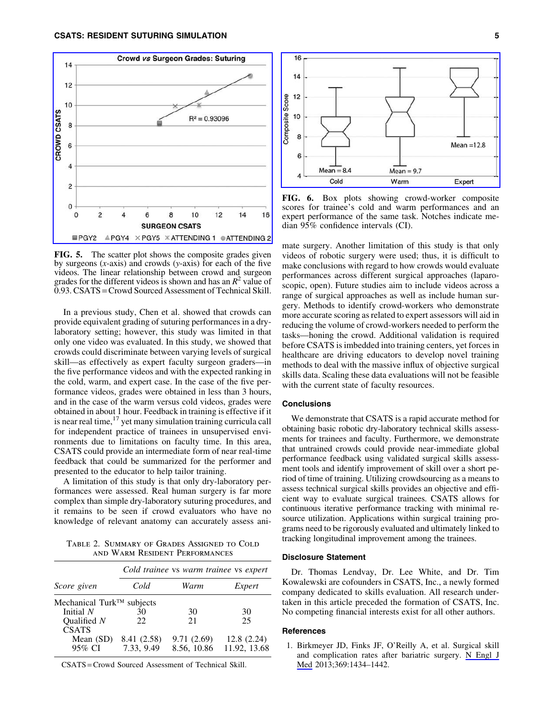

FIG. 5. The scatter plot shows the composite grades given by surgeons (*x*-axis) and crowds (*y*-axis) for each of the five videos. The linear relationship between crowd and surgeon grades for the different videos is shown and has an  $R^2$  value of 0.93. CSATS =Crowd Sourced Assessment of Technical Skill.

In a previous study, Chen et al. showed that crowds can provide equivalent grading of suturing performances in a drylaboratory setting; however, this study was limited in that only one video was evaluated. In this study, we showed that crowds could discriminate between varying levels of surgical skill—as effectively as expert faculty surgeon graders—in the five performance videos and with the expected ranking in the cold, warm, and expert case. In the case of the five performance videos, grades were obtained in less than 3 hours, and in the case of the warm versus cold videos, grades were obtained in about 1 hour. Feedback in training is effective if it is near real time, $17$  yet many simulation training curricula call for independent practice of trainees in unsupervised environments due to limitations on faculty time. In this area, CSATS could provide an intermediate form of near real-time feedback that could be summarized for the performer and presented to the educator to help tailor training.

A limitation of this study is that only dry-laboratory performances were assessed. Real human surgery is far more complex than simple dry-laboratory suturing procedures, and it remains to be seen if crowd evaluators who have no knowledge of relevant anatomy can accurately assess ani-

Table 2. Summary of Grades Assigned to Cold and Warm Resident Performances

|                           | Cold trainee vs warm trainee vs expert |             |              |  |  |  |
|---------------------------|----------------------------------------|-------------|--------------|--|--|--|
| Score given               | Cold                                   | Warm        | Expert       |  |  |  |
| Mechanical Turk™ subjects |                                        |             |              |  |  |  |
| Initial N                 | 30                                     | 30          | 30           |  |  |  |
| Qualified $N$             | 22.                                    | 21          | 25           |  |  |  |
| <b>CSATS</b>              |                                        |             |              |  |  |  |
| Mean $(SD)$               | 8.41 (2.58)                            | 9.71(2.69)  | 12.8(2.24)   |  |  |  |
| 95% CI                    | 7.33, 9.49                             | 8.56, 10.86 | 11.92, 13.68 |  |  |  |

CSATS = Crowd Sourced Assessment of Technical Skill.



FIG. 6. Box plots showing crowd-worker composite scores for trainee's cold and warm performances and an expert performance of the same task. Notches indicate median 95% confidence intervals (CI).

mate surgery. Another limitation of this study is that only videos of robotic surgery were used; thus, it is difficult to make conclusions with regard to how crowds would evaluate performances across different surgical approaches (laparoscopic, open). Future studies aim to include videos across a range of surgical approaches as well as include human surgery. Methods to identify crowd-workers who demonstrate more accurate scoring as related to expert assessors will aid in reducing the volume of crowd-workers needed to perform the tasks—honing the crowd. Additional validation is required before CSATS is imbedded into training centers, yet forces in healthcare are driving educators to develop novel training methods to deal with the massive influx of objective surgical skills data. Scaling these data evaluations will not be feasible with the current state of faculty resources.

## **Conclusions**

We demonstrate that CSATS is a rapid accurate method for obtaining basic robotic dry-laboratory technical skills assessments for trainees and faculty. Furthermore, we demonstrate that untrained crowds could provide near-immediate global performance feedback using validated surgical skills assessment tools and identify improvement of skill over a short period of time of training. Utilizing crowdsourcing as a means to assess technical surgical skills provides an objective and efficient way to evaluate surgical trainees. CSATS allows for continuous iterative performance tracking with minimal resource utilization. Applications within surgical training programs need to be rigorously evaluated and ultimately linked to tracking longitudinal improvement among the trainees.

# Disclosure Statement

Dr. Thomas Lendvay, Dr. Lee White, and Dr. Tim Kowalewski are cofounders in CSATS, Inc., a newly formed company dedicated to skills evaluation. All research undertaken in this article preceded the formation of CSATS, Inc. No competing financial interests exist for all other authors.

# References

1. Birkmeyer JD, Finks JF, O'Reilly A, et al. Surgical skill and complication rates after bariatric surgery. [N Engl J](http://online.liebertpub.com/action/showLinks?pmid=24106936&crossref=10.1056%2FNEJMsa1300625) [Med](http://online.liebertpub.com/action/showLinks?pmid=24106936&crossref=10.1056%2FNEJMsa1300625) 2013;369:1434–1442.